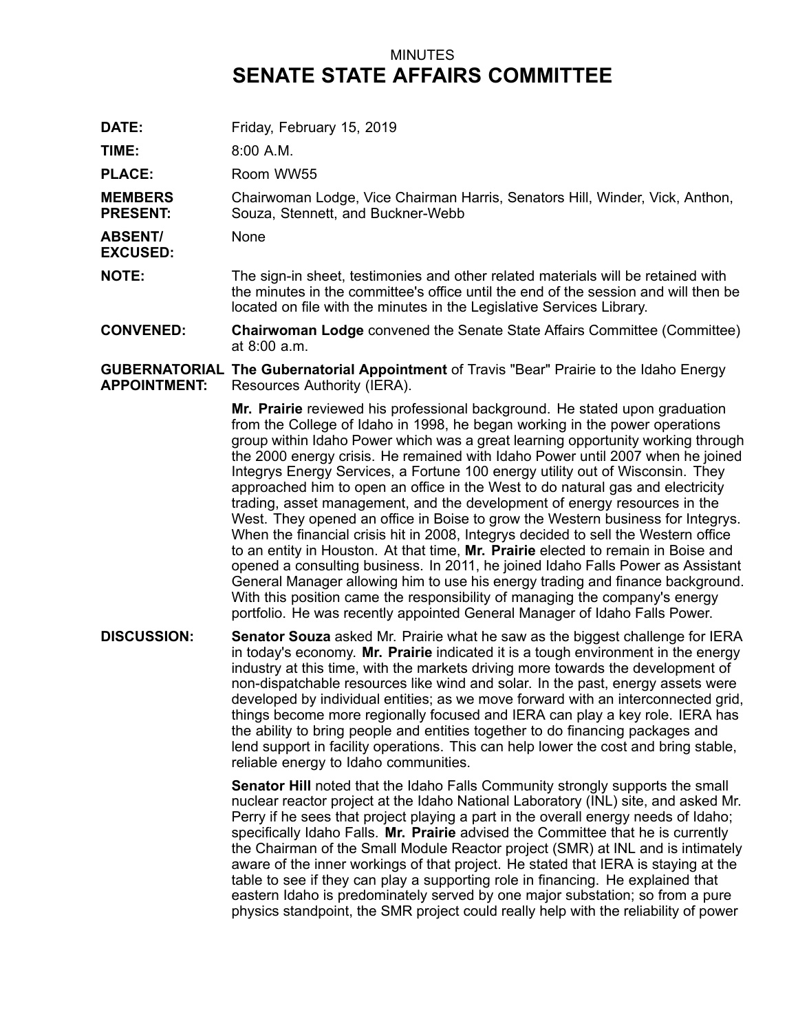## MINUTES **SENATE STATE AFFAIRS COMMITTEE**

DATE: Friday, February 15, 2019

**TIME:** 8:00 A.M.

PLACE: Room WW55

**MEMBERS PRESENT:** Chairwoman Lodge, Vice Chairman Harris, Senators Hill, Winder, Vick, Anthon, Souza, Stennett, and Buckner-Webb

**ABSENT/** None

**EXCUSED:**

**NOTE:** The sign-in sheet, testimonies and other related materials will be retained with the minutes in the committee's office until the end of the session and will then be located on file with the minutes in the Legislative Services Library.

**CONVENED: Chairwoman Lodge** convened the Senate State Affairs Committee (Committee) at 8:00 a.m.

## **GUBERNATORIAL The Gubernatorial Appointment** of Travis "Bear" Prairie to the Idaho Energy **APPOINTMENT:** Resources Authority (IERA).

**Mr. Prairie** reviewed his professional background. He stated upon graduation from the College of Idaho in 1998, he began working in the power operations group within Idaho Power which was <sup>a</sup> great learning opportunity working through the 2000 energy crisis. He remained with Idaho Power until 2007 when he joined Integrys Energy Services, <sup>a</sup> Fortune 100 energy utility out of Wisconsin. They approached him to open an office in the West to do natural gas and electricity trading, asset management, and the development of energy resources in the West. They opened an office in Boise to grow the Western business for Integrys. When the financial crisis hit in 2008, Integrys decided to sell the Western office to an entity in Houston. At that time, **Mr. Prairie** elected to remain in Boise and opened <sup>a</sup> consulting business. In 2011, he joined Idaho Falls Power as Assistant General Manager allowing him to use his energy trading and finance background. With this position came the responsibility of managing the company's energy portfolio. He was recently appointed General Manager of Idaho Falls Power.

**DISCUSSION: Senator Souza** asked Mr. Prairie what he saw as the biggest challenge for IERA in today's economy. **Mr. Prairie** indicated it is <sup>a</sup> tough environment in the energy industry at this time, with the markets driving more towards the development of non-dispatchable resources like wind and solar. In the past, energy assets were developed by individual entities; as we move forward with an interconnected grid, things become more regionally focused and IERA can play <sup>a</sup> key role. IERA has the ability to bring people and entities together to do financing packages and lend support in facility operations. This can help lower the cost and bring stable, reliable energy to Idaho communities.

> **Senator Hill** noted that the Idaho Falls Community strongly supports the small nuclear reactor project at the Idaho National Laboratory (INL) site, and asked Mr. Perry if he sees that project playing <sup>a</sup> part in the overall energy needs of Idaho; specifically Idaho Falls. **Mr. Prairie** advised the Committee that he is currently the Chairman of the Small Module Reactor project (SMR) at INL and is intimately aware of the inner workings of that project. He stated that IERA is staying at the table to see if they can play <sup>a</sup> supporting role in financing. He explained that eastern Idaho is predominately served by one major substation; so from <sup>a</sup> pure physics standpoint, the SMR project could really help with the reliability of power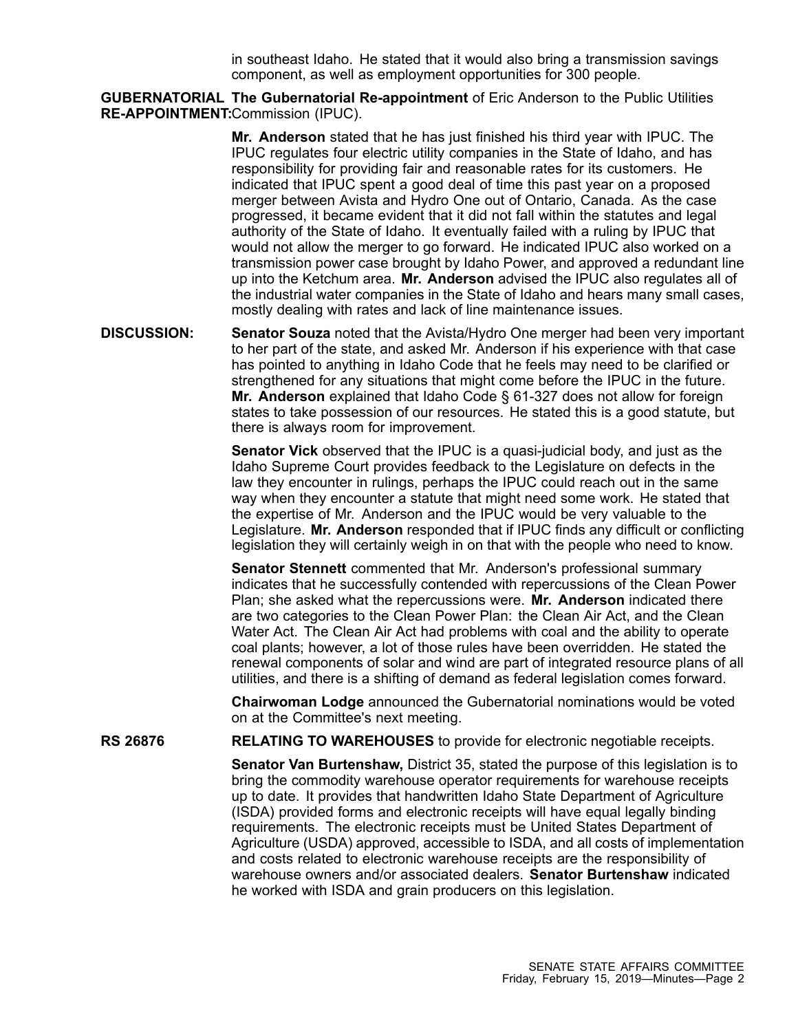in southeast Idaho. He stated that it would also bring <sup>a</sup> transmission savings component, as well as employment opportunities for 300 people.

**GUBERNATORIAL The Gubernatorial Re-appointment** of Eric Anderson to the Public Utilities **RE-APPOINTMENT:** Commission (IPUC).

> **Mr. Anderson** stated that he has just finished his third year with IPUC. The IPUC regulates four electric utility companies in the State of Idaho, and has responsibility for providing fair and reasonable rates for its customers. He indicated that IPUC spent <sup>a</sup> good deal of time this past year on <sup>a</sup> proposed merger between Avista and Hydro One out of Ontario, Canada. As the case progressed, it became evident that it did not fall within the statutes and legal authority of the State of Idaho. It eventually failed with <sup>a</sup> ruling by IPUC that would not allow the merger to go forward. He indicated IPUC also worked on <sup>a</sup> transmission power case brought by Idaho Power, and approved <sup>a</sup> redundant line up into the Ketchum area. **Mr. Anderson** advised the IPUC also regulates all of the industrial water companies in the State of Idaho and hears many small cases, mostly dealing with rates and lack of line maintenance issues.

**DISCUSSION: Senator Souza** noted that the Avista/Hydro One merger had been very important to her part of the state, and asked Mr. Anderson if his experience with that case has pointed to anything in Idaho Code that he feels may need to be clarified or strengthened for any situations that might come before the IPUC in the future. **Mr. Anderson** explained that Idaho Code § 61-327 does not allow for foreign states to take possession of our resources. He stated this is <sup>a</sup> good statute, but there is always room for improvement.

> **Senator Vick** observed that the IPUC is <sup>a</sup> quasi-judicial body, and just as the Idaho Supreme Court provides feedback to the Legislature on defects in the law they encounter in rulings, perhaps the IPUC could reach out in the same way when they encounter <sup>a</sup> statute that might need some work. He stated that the expertise of Mr. Anderson and the IPUC would be very valuable to the Legislature. **Mr. Anderson** responded that if IPUC finds any difficult or conflicting legislation they will certainly weigh in on that with the people who need to know.

> **Senator Stennett** commented that Mr. Anderson's professional summary indicates that he successfully contended with repercussions of the Clean Power Plan; she asked what the repercussions were. **Mr. Anderson** indicated there are two categories to the Clean Power Plan: the Clean Air Act, and the Clean Water Act. The Clean Air Act had problems with coal and the ability to operate coal plants; however, <sup>a</sup> lot of those rules have been overridden. He stated the renewal components of solar and wind are part of integrated resource plans of all utilities, and there is <sup>a</sup> shifting of demand as federal legislation comes forward.

**Chairwoman Lodge** announced the Gubernatorial nominations would be voted on at the Committee's next meeting.

**RS 26876 RELATING TO WAREHOUSES** to provide for electronic negotiable receipts.

**Senator Van Burtenshaw,** District 35, stated the purpose of this legislation is to bring the commodity warehouse operator requirements for warehouse receipts up to date. It provides that handwritten Idaho State Department of Agriculture (ISDA) provided forms and electronic receipts will have equal legally binding requirements. The electronic receipts must be United States Department of Agriculture (USDA) approved, accessible to ISDA, and all costs of implementation and costs related to electronic warehouse receipts are the responsibility of warehouse owners and/or associated dealers. **Senator Burtenshaw** indicated he worked with ISDA and grain producers on this legislation.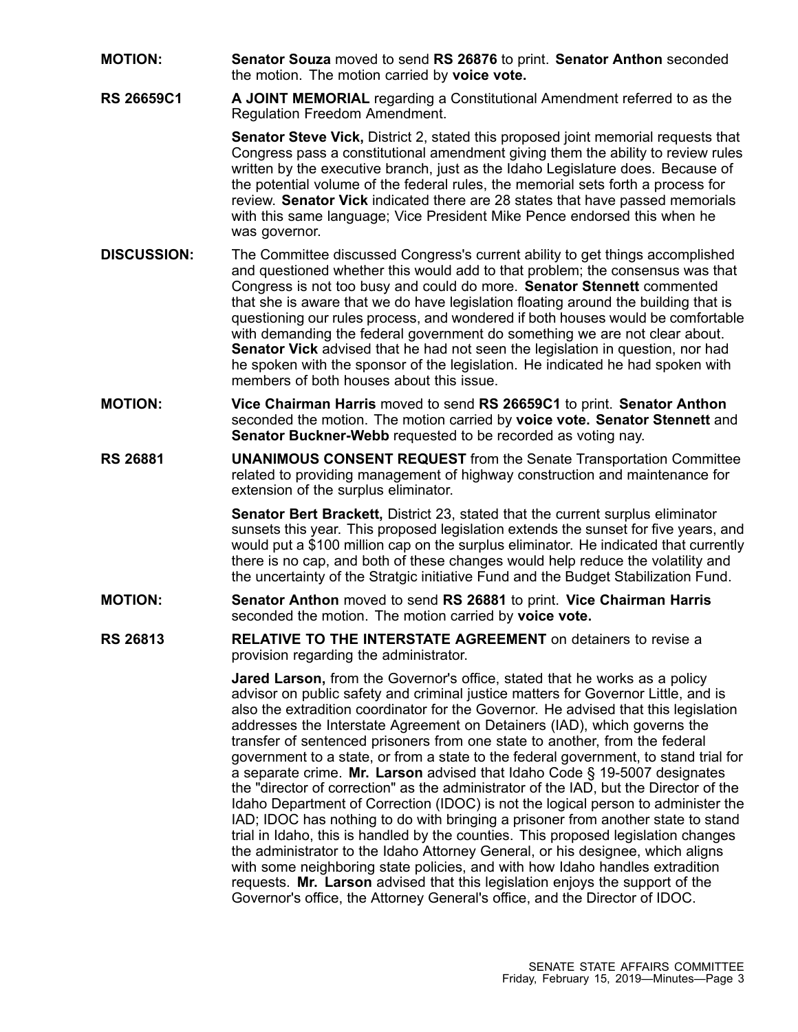- **MOTION: Senator Souza** moved to send **RS 26876** to print. **Senator Anthon** seconded the motion. The motion carried by **voice vote.**
- **RS 26659C1 A JOINT MEMORIAL** regarding <sup>a</sup> Constitutional Amendment referred to as the Regulation Freedom Amendment.

**Senator Steve Vick,** District 2, stated this proposed joint memorial requests that Congress pass <sup>a</sup> constitutional amendment giving them the ability to review rules written by the executive branch, just as the Idaho Legislature does. Because of the potential volume of the federal rules, the memorial sets forth <sup>a</sup> process for review. **Senator Vick** indicated there are 28 states that have passed memorials with this same language; Vice President Mike Pence endorsed this when he was governor.

- **DISCUSSION:** The Committee discussed Congress's current ability to get things accomplished and questioned whether this would add to that problem; the consensus was that Congress is not too busy and could do more. **Senator Stennett** commented that she is aware that we do have legislation floating around the building that is questioning our rules process, and wondered if both houses would be comfortable with demanding the federal government do something we are not clear about. **Senator Vick** advised that he had not seen the legislation in question, nor had he spoken with the sponsor of the legislation. He indicated he had spoken with members of both houses about this issue.
- **MOTION: Vice Chairman Harris** moved to send **RS 26659C1** to print. **Senator Anthon** seconded the motion. The motion carried by **voice vote. Senator Stennett** and **Senator Buckner-Webb** requested to be recorded as voting nay.
- **RS 26881 UNANIMOUS CONSENT REQUEST** from the Senate Transportation Committee related to providing management of highway construction and maintenance for extension of the surplus eliminator.

**Senator Bert Brackett,** District 23, stated that the current surplus eliminator sunsets this year. This proposed legislation extends the sunset for five years, and would put <sup>a</sup> \$100 million cap on the surplus eliminator. He indicated that currently there is no cap, and both of these changes would help reduce the volatility and the uncertainty of the Stratgic initiative Fund and the Budget Stabilization Fund.

- **MOTION: Senator Anthon** moved to send **RS 26881** to print. **Vice Chairman Harris** seconded the motion. The motion carried by **voice vote.**
- **RS 26813 RELATIVE TO THE INTERSTATE AGREEMENT** on detainers to revise a provision regarding the administrator.

**Jared Larson,** from the Governor's office, stated that he works as <sup>a</sup> policy advisor on public safety and criminal justice matters for Governor Little, and is also the extradition coordinator for the Governor. He advised that this legislation addresses the Interstate Agreement on Detainers (IAD), which governs the transfer of sentenced prisoners from one state to another, from the federal government to <sup>a</sup> state, or from <sup>a</sup> state to the federal government, to stand trial for <sup>a</sup> separate crime. **Mr. Larson** advised that Idaho Code § 19-5007 designates the "director of correction" as the administrator of the IAD, but the Director of the Idaho Department of Correction (IDOC) is not the logical person to administer the IAD; IDOC has nothing to do with bringing <sup>a</sup> prisoner from another state to stand trial in Idaho, this is handled by the counties. This proposed legislation changes the administrator to the Idaho Attorney General, or his designee, which aligns with some neighboring state policies, and with how Idaho handles extradition requests. **Mr. Larson** advised that this legislation enjoys the support of the Governor's office, the Attorney General's office, and the Director of IDOC.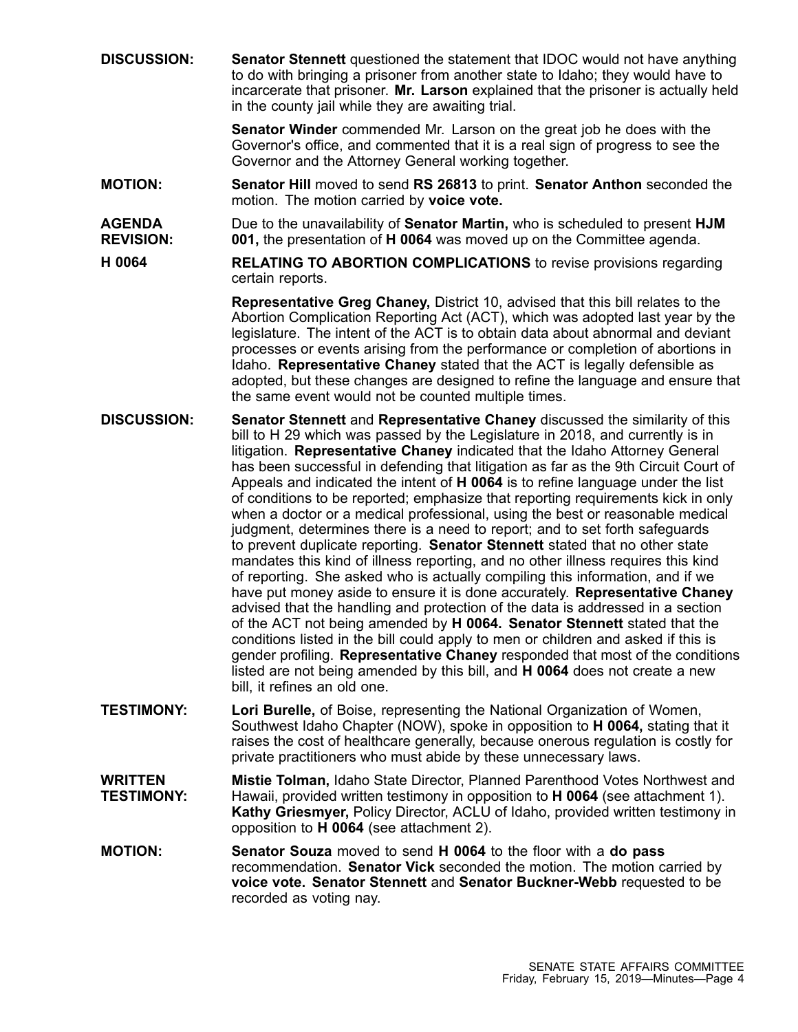**DISCUSSION: Senator Stennett** questioned the statement that IDOC would not have anything to do with bringing <sup>a</sup> prisoner from another state to Idaho; they would have to incarcerate that prisoner. **Mr. Larson** explained that the prisoner is actually held in the county jail while they are awaiting trial.

> **Senator Winder** commended Mr. Larson on the great job he does with the Governor's office, and commented that it is <sup>a</sup> real sign of progress to see the Governor and the Attorney General working together.

- **MOTION: Senator Hill** moved to send **RS 26813** to print. **Senator Anthon** seconded the motion. The motion carried by **voice vote.**
- **AGENDA REVISION:** Due to the unavailability of **Senator Martin,** who is scheduled to present **HJM 001,** the presentation of **H 0064** was moved up on the Committee agenda.
- **H 0064 RELATING TO ABORTION COMPLICATIONS** to revise provisions regarding certain reports.

**Representative Greg Chaney,** District 10, advised that this bill relates to the Abortion Complication Reporting Act (ACT), which was adopted last year by the legislature. The intent of the ACT is to obtain data about abnormal and deviant processes or events arising from the performance or completion of abortions in Idaho. **Representative Chaney** stated that the ACT is legally defensible as adopted, but these changes are designed to refine the language and ensure that the same event would not be counted multiple times.

- **DISCUSSION: Senator Stennett** and **Representative Chaney** discussed the similarity of this bill to H 29 which was passed by the Legislature in 2018, and currently is in litigation. **Representative Chaney** indicated that the Idaho Attorney General has been successful in defending that litigation as far as the 9th Circuit Court of Appeals and indicated the intent of **H 0064** is to refine language under the list of conditions to be reported; emphasize that reporting requirements kick in only when <sup>a</sup> doctor or <sup>a</sup> medical professional, using the best or reasonable medical judgment, determines there is <sup>a</sup> need to report; and to set forth safeguards to prevent duplicate reporting. **Senator Stennett** stated that no other state mandates this kind of illness reporting, and no other illness requires this kind of reporting. She asked who is actually compiling this information, and if we have put money aside to ensure it is done accurately. **Representative Chaney** advised that the handling and protection of the data is addressed in <sup>a</sup> section of the ACT not being amended by **H 0064. Senator Stennett** stated that the conditions listed in the bill could apply to men or children and asked if this is gender profiling. **Representative Chaney** responded that most of the conditions listed are not being amended by this bill, and **H 0064** does not create <sup>a</sup> new bill, it refines an old one.
- **TESTIMONY: Lori Burelle,** of Boise, representing the National Organization of Women, Southwest Idaho Chapter (NOW), spoke in opposition to **H 0064,** stating that it raises the cost of healthcare generally, because onerous regulation is costly for private practitioners who must abide by these unnecessary laws.
- **WRITTEN TESTIMONY: Mistie Tolman,** Idaho State Director, Planned Parenthood Votes Northwest and Hawaii, provided written testimony in opposition to **H 0064** (see attachment 1). **Kathy Griesmyer,** Policy Director, ACLU of Idaho, provided written testimony in opposition to **H 0064** (see attachment 2).
- **MOTION: Senator Souza** moved to send **H 0064** to the floor with <sup>a</sup> **do pass** recommendation. **Senator Vick** seconded the motion. The motion carried by **voice vote. Senator Stennett** and **Senator Buckner-Webb** requested to be recorded as voting nay.